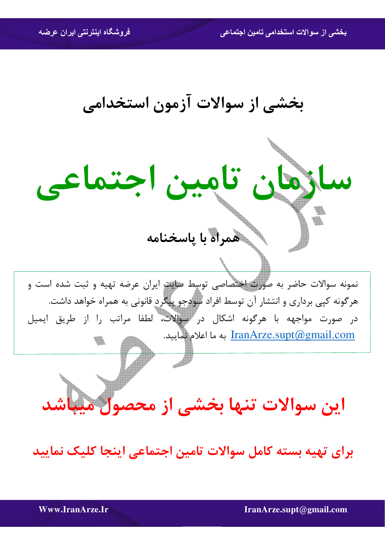بخشی از سوالات استخدامی تامین اجتماعی

بخشي از سوالات آزمون استخدامي



برای تهیه بسته کامل سوالات تامین اجتماعی اینجا کلیک نمایید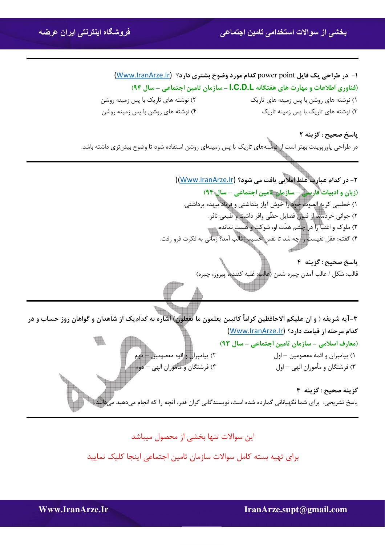## **بخشی از سوالات استخدامی تامين اجتماعی فروشگاه اينترنتی ايران عرضه**

| ۱- در طراحی یک فایل power point کدام مورد وضوح بشتری دارد؟ (Www.lranArze.lr) |                                         |
|------------------------------------------------------------------------------|-----------------------------------------|
| (فناوری اطلاعات و مهارت های هفتگانه I.C.D.L - سازمان تامین اجتماعی - سال ۹۴) |                                         |
| ۲) نوشته های تاریک با پس زمینه روشن                                          | ۱) نوشته های روشن با پس زمینه های تاریک |
| ۴) نوشته های روشن با پس زمینه روشن                                           | ۳) نوشته های تاریک با پس زمینه تاریک    |

**باسخ صحيح : گزينه ٢** در طراحی پاورپوینت بهتر است از نوشتههای تاریک با پس زمینهای روشن استفاده شود تا وضوح بیش تری داشته باشد.



## این سوالات تنها بخشی از محصول میباشد

برای تهیه بسته کامل سوالات سازمان تامین اجتماعی اینجا کلیک نمایید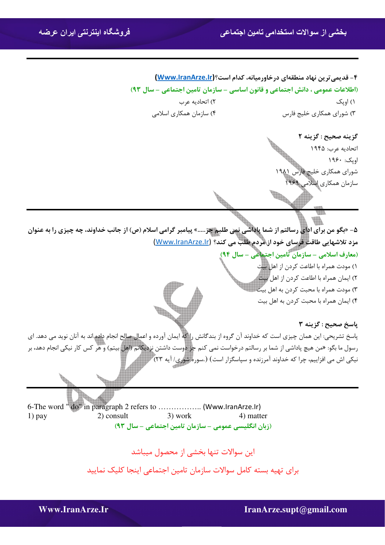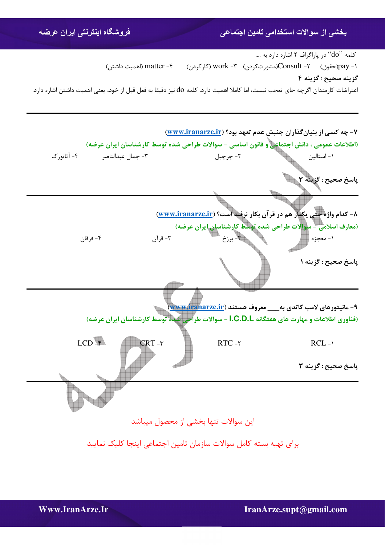## **بخشی از سوالات استخدامی تامين اجتماعی فروشگاه اينترنتی ايران عرضه**

 $\ldots$  کلمه  $\rm do''$  در یاراگراف ۲ اشاره دارد به  $\rm do''$ ۱- pay(حقوق) ۲- Consult(مشورتكردن) ۳- work (كاركردن) ۴- matter (اهميت داشتن) گزينه صحيح : گزينه ۴ اعتراضات کارمندان اگرچه جای تعجب نیست، اما کاملا اهمیت دارد. کلمه do نیز دقیقا به فعل قبل از خود، یعنی اهمیت داشتن اشاره دارد.



برای تهیه بسته کامل سوالات سازمان تامین اجتماعی اینجا کلیک نمایید